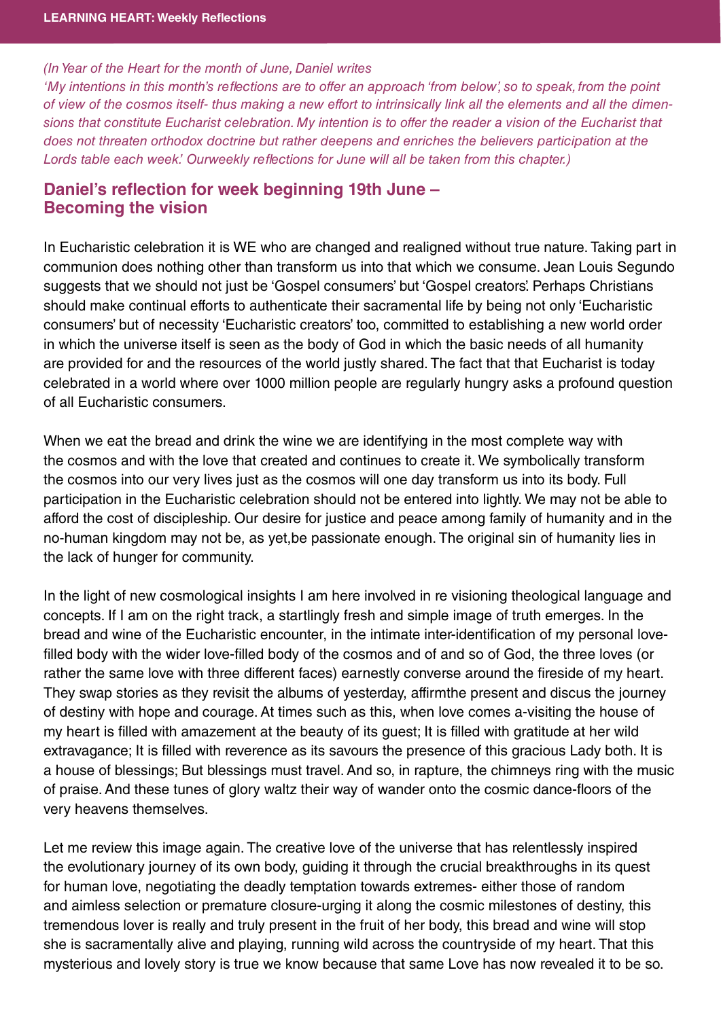## (In Year of the Heart for the month of June, Daniel writes

'My intentions in this month's reflections are to offer an approach 'from below', so to speak, from the point of view of the cosmos itself- thus making a new effort to intrinsically link all the elements and all the dimensions that constitute Eucharist celebration. My intention is to offer the reader a vision of the Eucharist that does not threaten orthodox doctrine but rather deepens and enriches the believers participation at the Lords table each week.' Ourweekly reflections for June will all be taken from this chapter.)

## Daniel's reflection for week beginning 19th June -<br>Becoming the vision **Becoming the vision**

In Eucharistic celebration it is WE who are changed and realigned without true nature. Taking part in communion does nothing other than transform us into that which we consume. Jean Louis Segundo suggests that we should not just be 'Gospel consumers' but 'Gospel creators'. Perhaps Christians should make continual efforts to authenticate their sacramental life by being not only 'Eucharistic consumers' but of necessity 'Eucharistic creators' too, committed to establishing a new world order in which the universe itself is seen as the body of God in which the basic needs of all humanity are provided for and the resources of the world justly shared. The fact that that Eucharist is today celebrated in a world where over 1000 million people are regularly hungry asks a profound question of all Eucharistic consumers.

When we eat the bread and drink the wine we are identifying in the most complete way with the cosmos and with the love that created and continues to create it. We symbolically transform the cosmos into our very lives just as the cosmos will one day transform us into its body. Full participation in the Eucharistic celebration should not be entered into lightly. We may not be able to afford the cost of discipleship. Our desire for justice and peace among family of humanity and in the no-human kingdom may not be, as yet,be passionate enough. The original sin of humanity lies in the lack of hunger for community.

In the light of new cosmological insights I am here involved in re visioning theological language and concepts. If I am on the right track, a startlingly fresh and simple image of truth emerges. In the bread and wine of the Eucharistic encounter, in the intimate inter-identification of my personal lovefilled body with the wider love-filled body of the cosmos and of and so of God, the three loves (or rather the same love with three different faces) earnestly converse around the fireside of my heart. They swap stories as they revisit the albums of yesterday, affirmthe present and discus the journey of destiny with hope and courage. At times such as this, when love comes a-visiting the house of my heart is filled with amazement at the beauty of its guest; It is filled with gratitude at her wild extravagance; It is filled with reverence as its savours the presence of this gracious Lady both. It is a house of blessings; But blessings must travel. And so, in rapture, the chimneys ring with the music of praise. And these tunes of glory waltz their way of wander onto the cosmic dance-floors of the very heavens themselves.

Let me review this image again. The creative love of the universe that has relentlessly inspired the evolutionary journey of its own body, guiding it through the crucial breakthroughs in its quest for human love, negotiating the deadly temptation towards extremes- either those of random and aimless selection or premature closure-urging it along the cosmic milestones of destiny, this tremendous lover is really and truly present in the fruit of her body, this bread and wine will stop she is sacramentally alive and playing, running wild across the countryside of my heart. That this mysterious and lovely story is true we know because that same Love has now revealed it to be so.